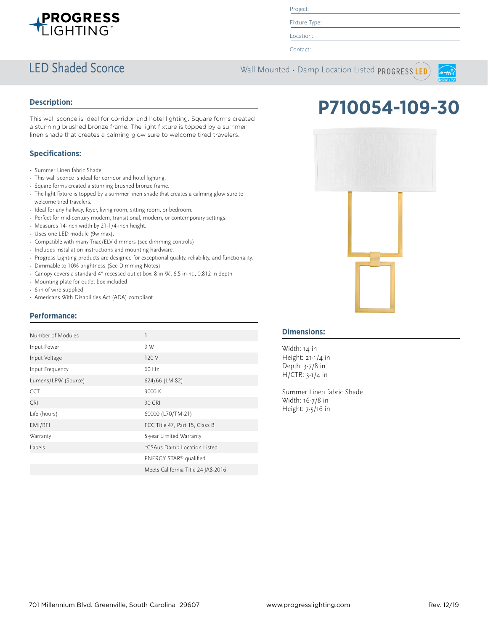

Project:

Fixture Type:

Location:

Contact:

## LED Shaded Sconce Wall Mounted • Damp Location Listed PROGRESS LED



#### **Description:**

This wall sconce is ideal for corridor and hotel lighting. Square forms created a stunning brushed bronze frame. The light fixture is topped by a summer linen shade that creates a calming glow sure to welcome tired travelers.

### **Specifications:**

- Summer Linen fabric Shade
- This wall sconce is ideal for corridor and hotel lighting.
- Square forms created a stunning brushed bronze frame.
- The light fixture is topped by a summer linen shade that creates a calming glow sure to welcome tired travelers.
- Ideal for any hallway, foyer, living room, sitting room, or bedroom.
- Perfect for mid-century modern, transitional, modern, or contemporary settings.
- Measures 14-inch width by 21-1/4-inch height.
- Uses one LED module (9w max).
- Compatible with many Triac/ELV dimmers (see dimming controls)
- Includes installation instructions and mounting hardware.
- Progress Lighting products are designed for exceptional quality, reliability, and functionality.
- Dimmable to 10% brightness (See Dimming Notes)
- Canopy covers a standard 4" recessed outlet box: 8 in W., 6.5 in ht., 0.812 in depth
- Mounting plate for outlet box included
- 6 in of wire supplied
- Americans With Disabilities Act (ADA) compliant

### **Performance:**

| Number of Modules   | 1                                  |
|---------------------|------------------------------------|
| Input Power         | 9 W                                |
| Input Voltage       | 120 V                              |
| Input Frequency     | 60 Hz                              |
| Lumens/LPW (Source) | 624/66 (LM-82)                     |
| CCT                 | 3000 K                             |
| <b>CRI</b>          | 90 CRI                             |
| Life (hours)        | 60000 (L70/TM-21)                  |
| EMI/RFI             | FCC Title 47, Part 15, Class B     |
| Warranty            | 5-year Limited Warranty            |
| Labels              | cCSAus Damp Location Listed        |
|                     | ENERGY STAR <sup>®</sup> qualified |
|                     | Meets California Title 24 JA8-2016 |





#### **Dimensions:**

Width: 14 in Height: 21-1/4 in Depth: 3-7/8 in H/CTR: 3-1/4 in

Summer Linen fabric Shade Width: 16-7/8 in Height: 7-5/16 in